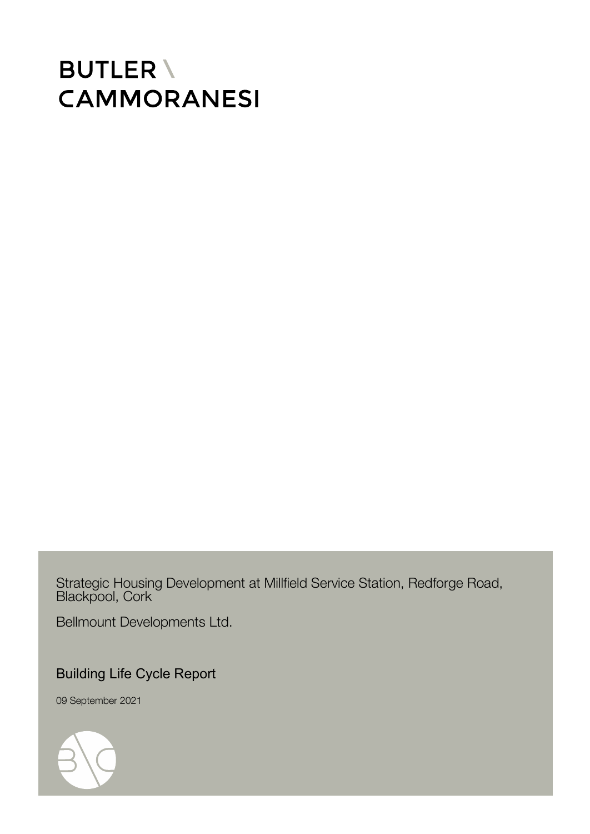# **BUTLER \ CAMMORANESI**

Strategic Housing Development at Millfield Service Station, Redforge Road, Blackpool, Cork

Bellmount Developments Ltd.

Building Life Cycle Report

09 September 2021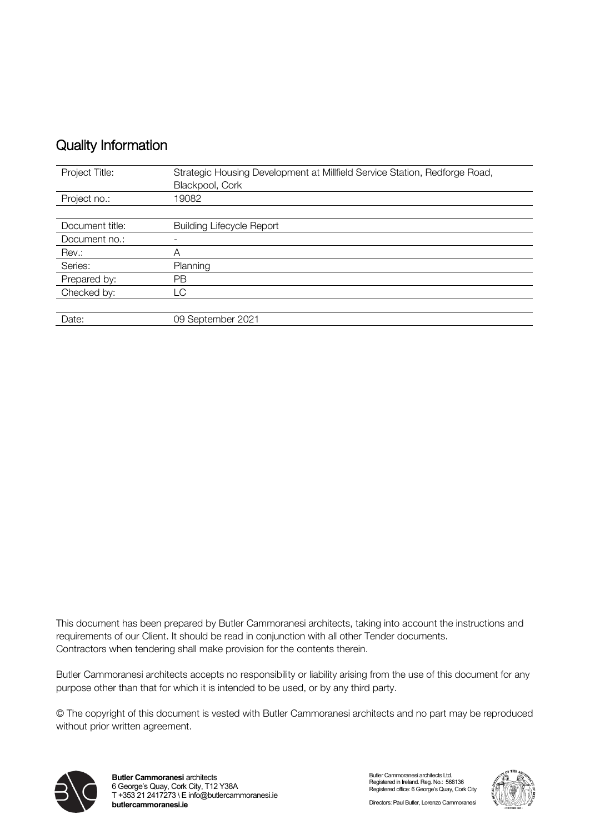## Quality Information

| Project Title:  | Strategic Housing Development at Millfield Service Station, Redforge Road, |
|-----------------|----------------------------------------------------------------------------|
|                 | Blackpool, Cork                                                            |
| Project no.:    | 19082                                                                      |
|                 |                                                                            |
| Document title: | <b>Building Lifecycle Report</b>                                           |
| Document no.:   |                                                                            |
| Rev.:           | Α                                                                          |
| Series:         | Planning                                                                   |
| Prepared by:    | <b>PB</b>                                                                  |
| Checked by:     | LC                                                                         |
|                 |                                                                            |
| Date:           | 09 September 2021                                                          |

This document has been prepared by Butler Cammoranesi architects, taking into account the instructions and requirements of our Client. It should be read in conjunction with all other Tender documents. Contractors when tendering shall make provision for the contents therein.

Butler Cammoranesi architects accepts no responsibility or liability arising from the use of this document for any purpose other than that for which it is intended to be used, or by any third party.

© The copyright of this document is vested with Butler Cammoranesi architects and no part may be reproduced without prior written agreement.



Butler Cammoranesi architects Ltd. Registered in Ireland. Reg. No.: 568136 Registered office: 6 George's Quay, Cork City

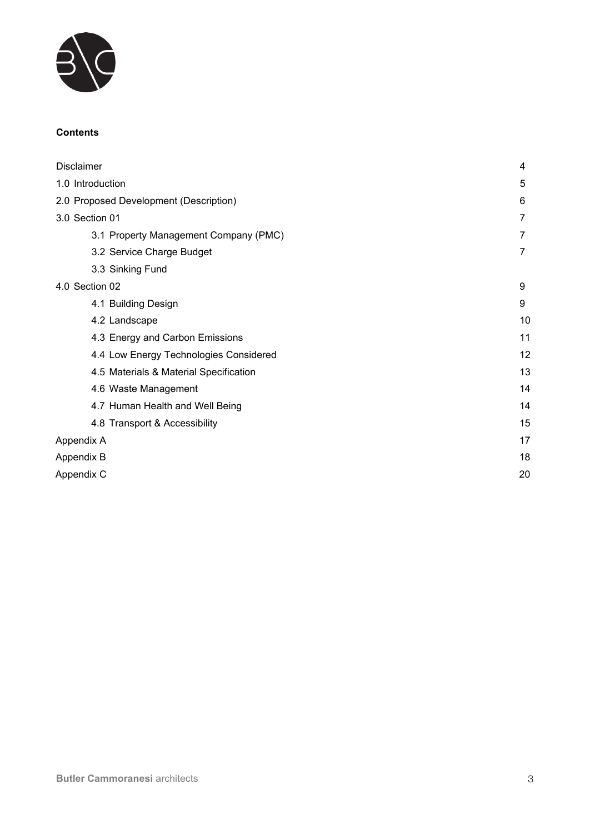

#### **Contents**

| Disclaimer                             | 4  |
|----------------------------------------|----|
| 1.0 Introduction                       | 5  |
| 2.0 Proposed Development (Description) | 6  |
| 3.0 Section 01                         | 7  |
| 3.1 Property Management Company (PMC)  | 7  |
| 3.2 Service Charge Budget              | 7  |
| 3.3 Sinking Fund                       |    |
| 4.0 Section 02                         | 9  |
| 4.1 Building Design                    | 9  |
| 4.2 Landscape                          | 10 |
| 4.3 Energy and Carbon Emissions        | 11 |
| 4.4 Low Energy Technologies Considered | 12 |
| 4.5 Materials & Material Specification | 13 |
| 4.6 Waste Management                   | 14 |
| 4.7 Human Health and Well Being        | 14 |
| 4.8 Transport & Accessibility          | 15 |
| Appendix A                             | 17 |
| Appendix B                             | 18 |
| Appendix C                             | 20 |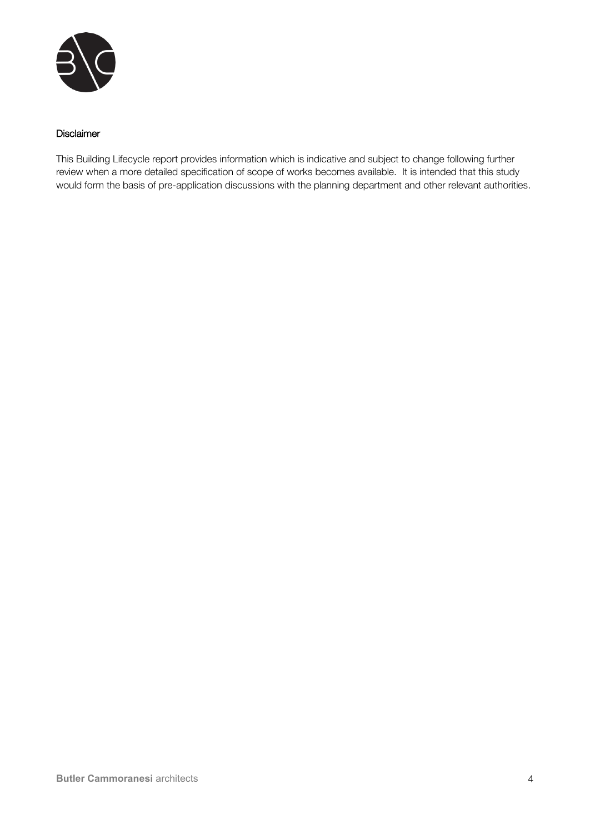

#### Disclaimer

This Building Lifecycle report provides information which is indicative and subject to change following further review when a more detailed specification of scope of works becomes available. It is intended that this study would form the basis of pre-application discussions with the planning department and other relevant authorities.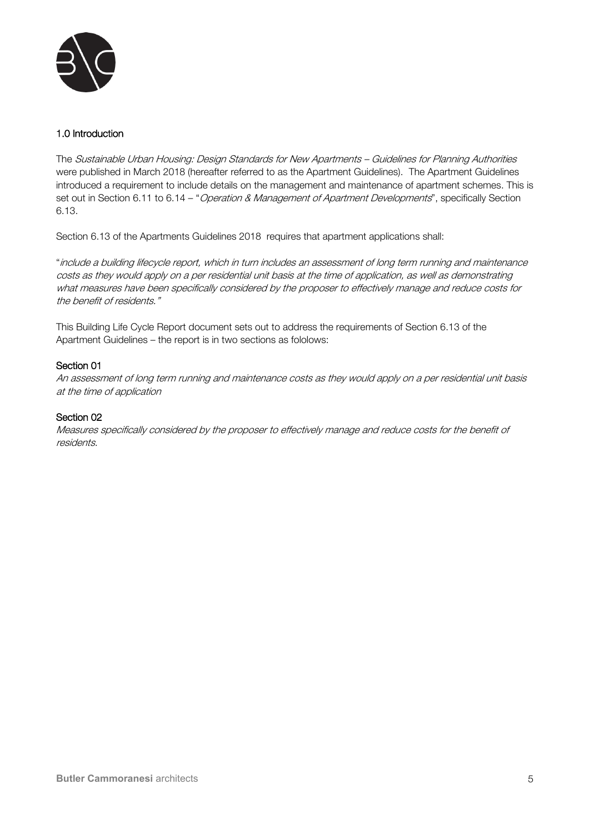

#### 1.0 Introduction

The Sustainable Urban Housing: Design Standards for New Apartments – Guidelines for Planning Authorities were published in March 2018 (hereafter referred to as the Apartment Guidelines). The Apartment Guidelines introduced a requirement to include details on the management and maintenance of apartment schemes. This is set out in Section 6.11 to 6.14 – "Operation & Management of Apartment Developments", specifically Section 6.13.

Section 6.13 of the Apartments Guidelines 2018 requires that apartment applications shall:

"include a building lifecycle report, which in turn includes an assessment of long term running and maintenance costs as they would apply on a per residential unit basis at the time of application, as well as demonstrating what measures have been specifically considered by the proposer to effectively manage and reduce costs for the benefit of residents."

This Building Life Cycle Report document sets out to address the requirements of Section 6.13 of the Apartment Guidelines – the report is in two sections as fololows:

#### Section 01

An assessment of long term running and maintenance costs as they would apply on a per residential unit basis at the time of application

#### Section 02

Measures specifically considered by the proposer to effectively manage and reduce costs for the benefit of residents.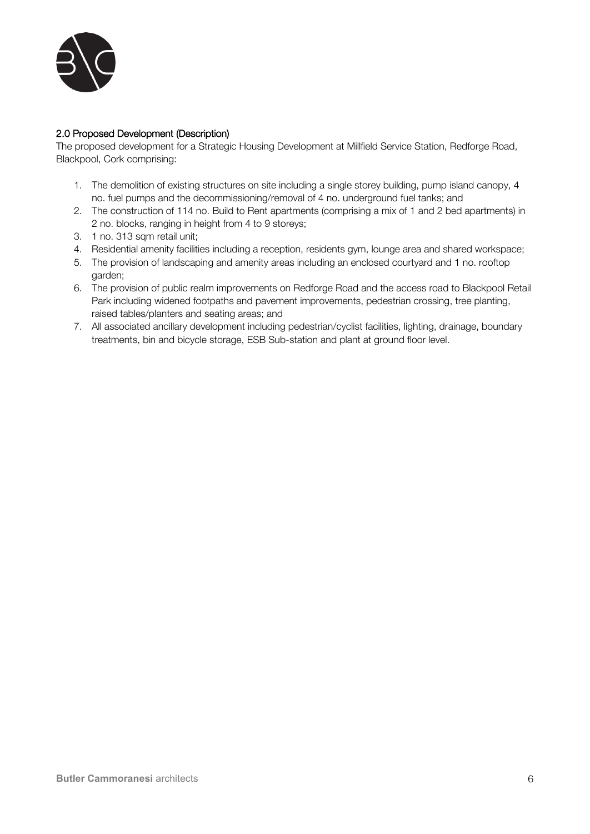

#### 2.0 Proposed Development (Description)

The proposed development for a Strategic Housing Development at Millfield Service Station, Redforge Road, Blackpool, Cork comprising:

- 1. The demolition of existing structures on site including a single storey building, pump island canopy, 4 no. fuel pumps and the decommissioning/removal of 4 no. underground fuel tanks; and
- 2. The construction of 114 no. Build to Rent apartments (comprising a mix of 1 and 2 bed apartments) in 2 no. blocks, ranging in height from 4 to 9 storeys;
- 3. 1 no. 313 sqm retail unit;
- 4. Residential amenity facilities including a reception, residents gym, lounge area and shared workspace;
- 5. The provision of landscaping and amenity areas including an enclosed courtyard and 1 no. rooftop garden;
- 6. The provision of public realm improvements on Redforge Road and the access road to Blackpool Retail Park including widened footpaths and pavement improvements, pedestrian crossing, tree planting, raised tables/planters and seating areas; and
- 7. All associated ancillary development including pedestrian/cyclist facilities, lighting, drainage, boundary treatments, bin and bicycle storage, ESB Sub-station and plant at ground floor level.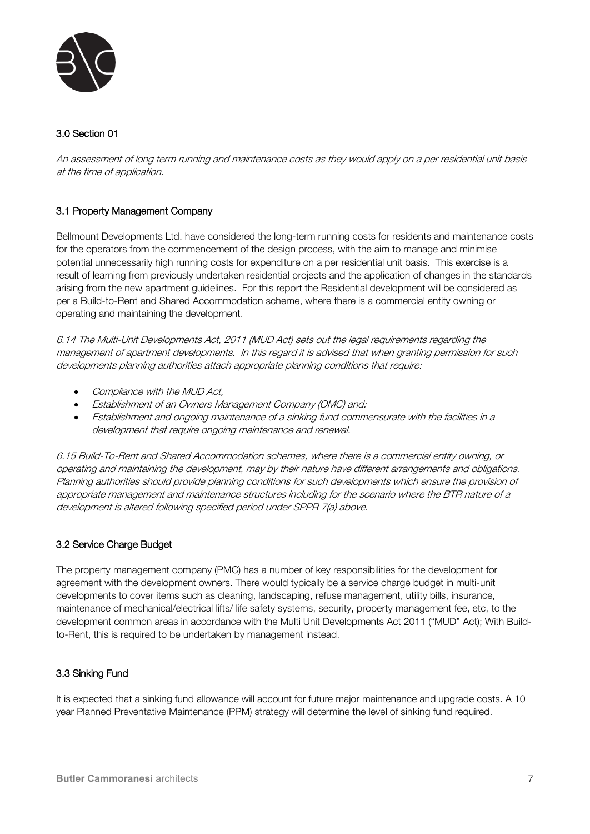

#### 3.0 Section 01

An assessment of long term running and maintenance costs as they would apply on a per residential unit basis at the time of application.

#### 3.1 Property Management Company

Bellmount Developments Ltd. have considered the long-term running costs for residents and maintenance costs for the operators from the commencement of the design process, with the aim to manage and minimise potential unnecessarily high running costs for expenditure on a per residential unit basis. This exercise is a result of learning from previously undertaken residential projects and the application of changes in the standards arising from the new apartment guidelines. For this report the Residential development will be considered as per a Build-to-Rent and Shared Accommodation scheme, where there is a commercial entity owning or operating and maintaining the development.

6.14 The Multi-Unit Developments Act, 2011 (MUD Act) sets out the legal requirements regarding the management of apartment developments. In this regard it is advised that when granting permission for such developments planning authorities attach appropriate planning conditions that require:

- Compliance with the MUD Act,
- Establishment of an Owners Management Company (OMC) and:
- Establishment and ongoing maintenance of a sinking fund commensurate with the facilities in a development that require ongoing maintenance and renewal.

6.15 Build-To-Rent and Shared Accommodation schemes, where there is a commercial entity owning, or operating and maintaining the development, may by their nature have different arrangements and obligations. Planning authorities should provide planning conditions for such developments which ensure the provision of appropriate management and maintenance structures including for the scenario where the BTR nature of a development is altered following specified period under SPPR 7(a) above.

#### 3.2 Service Charge Budget

The property management company (PMC) has a number of key responsibilities for the development for agreement with the development owners. There would typically be a service charge budget in multi-unit developments to cover items such as cleaning, landscaping, refuse management, utility bills, insurance, maintenance of mechanical/electrical lifts/ life safety systems, security, property management fee, etc, to the development common areas in accordance with the Multi Unit Developments Act 2011 ("MUD" Act); With Buildto-Rent, this is required to be undertaken by management instead.

#### 3.3 Sinking Fund

It is expected that a sinking fund allowance will account for future major maintenance and upgrade costs. A 10 year Planned Preventative Maintenance (PPM) strategy will determine the level of sinking fund required.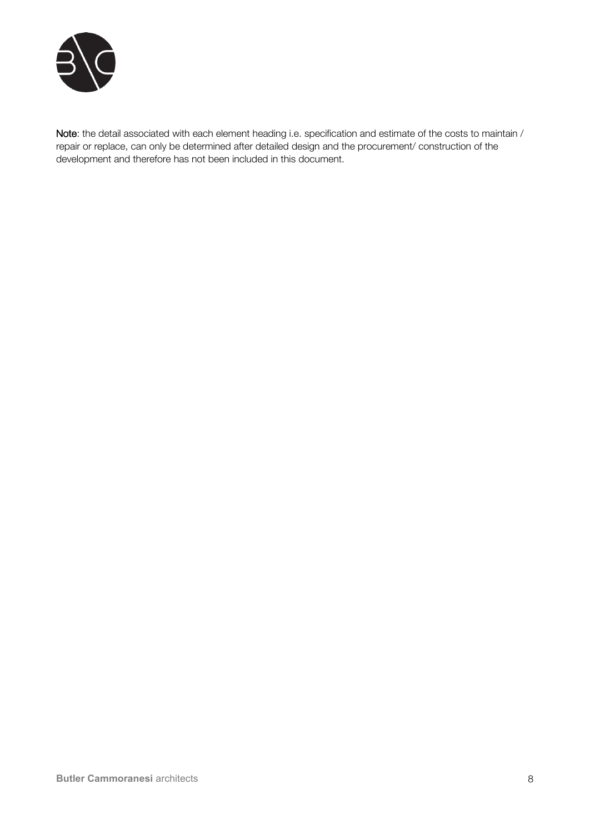

Note: the detail associated with each element heading i.e. specification and estimate of the costs to maintain / repair or replace, can only be determined after detailed design and the procurement/ construction of the development and therefore has not been included in this document.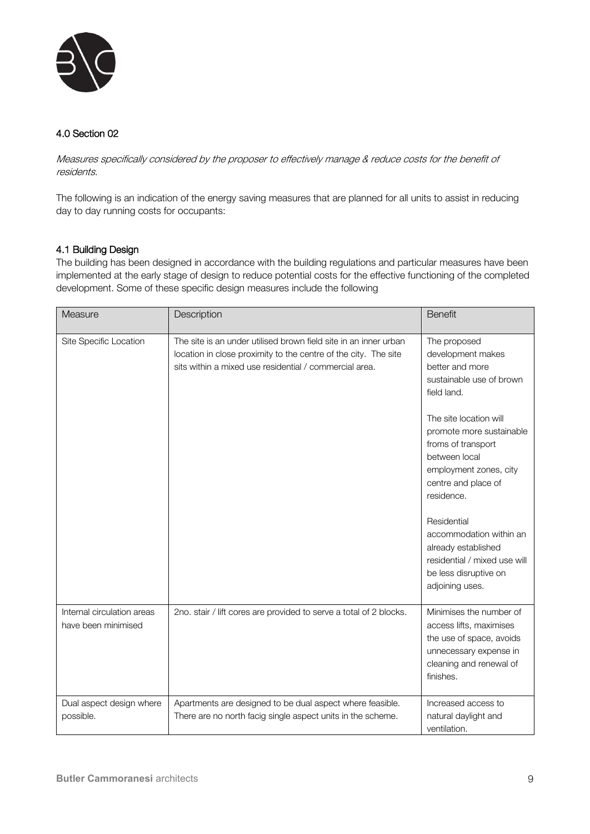

#### 4.0 Section 02

Measures specifically considered by the proposer to effectively manage & reduce costs for the benefit of residents.

The following is an indication of the energy saving measures that are planned for all units to assist in reducing day to day running costs for occupants:

#### 4.1 Building Design

The building has been designed in accordance with the building regulations and particular measures have been implemented at the early stage of design to reduce potential costs for the effective functioning of the completed development. Some of these specific design measures include the following

| Measure                                           | Description                                                                                                                                                                                   | <b>Benefit</b>                                                                                                                                           |
|---------------------------------------------------|-----------------------------------------------------------------------------------------------------------------------------------------------------------------------------------------------|----------------------------------------------------------------------------------------------------------------------------------------------------------|
| Site Specific Location                            | The site is an under utilised brown field site in an inner urban<br>location in close proximity to the centre of the city. The site<br>sits within a mixed use residential / commercial area. | The proposed<br>development makes<br>better and more<br>sustainable use of brown<br>field land.                                                          |
|                                                   |                                                                                                                                                                                               | The site location will<br>promote more sustainable<br>froms of transport<br>between local<br>employment zones, city<br>centre and place of<br>residence. |
|                                                   |                                                                                                                                                                                               | Residential<br>accommodation within an<br>already established<br>residential / mixed use will<br>be less disruptive on<br>adjoining uses.                |
| Internal circulation areas<br>have been minimised | 2no. stair / lift cores are provided to serve a total of 2 blocks.                                                                                                                            | Minimises the number of<br>access lifts, maximises<br>the use of space, avoids<br>unnecessary expense in<br>cleaning and renewal of<br>finishes.         |
| Dual aspect design where<br>possible.             | Apartments are designed to be dual aspect where feasible.<br>There are no north facig single aspect units in the scheme.                                                                      | Increased access to<br>natural daylight and<br>ventilation.                                                                                              |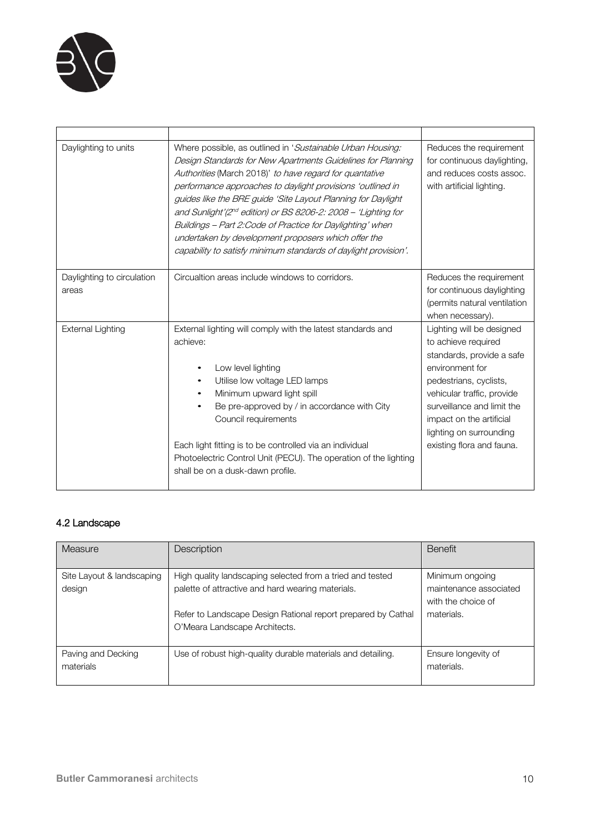

| Daylighting to units                | Where possible, as outlined in 'Sustainable Urban Housing:<br>Design Standards for New Apartments Guidelines for Planning<br>Authorities (March 2018)' to have regard for quantative<br>performance approaches to daylight provisions 'outlined in<br>guides like the BRE guide 'Site Layout Planning for Daylight<br>and Sunlight'(2 <sup>nd</sup> edition) or BS 8206-2: 2008 - 'Lighting for<br>Buildings – Part 2: Code of Practice for Daylighting' when<br>undertaken by development proposers which offer the<br>capability to satisfy minimum standards of daylight provision'. | Reduces the requirement<br>for continuous daylighting,<br>and reduces costs assoc.<br>with artificial lighting.                                                                                                                                                            |
|-------------------------------------|-----------------------------------------------------------------------------------------------------------------------------------------------------------------------------------------------------------------------------------------------------------------------------------------------------------------------------------------------------------------------------------------------------------------------------------------------------------------------------------------------------------------------------------------------------------------------------------------|----------------------------------------------------------------------------------------------------------------------------------------------------------------------------------------------------------------------------------------------------------------------------|
| Daylighting to circulation<br>areas | Circualtion areas include windows to corridors.                                                                                                                                                                                                                                                                                                                                                                                                                                                                                                                                         | Reduces the requirement<br>for continuous daylighting<br>(permits natural ventilation<br>when necessary).                                                                                                                                                                  |
| <b>External Lighting</b>            | External lighting will comply with the latest standards and<br>achieve:<br>Low level lighting<br>Utilise low voltage LED lamps<br>Minimum upward light spill<br>Be pre-approved by / in accordance with City<br>Council requirements<br>Each light fitting is to be controlled via an individual<br>Photoelectric Control Unit (PECU). The operation of the lighting<br>shall be on a dusk-dawn profile.                                                                                                                                                                                | Lighting will be designed<br>to achieve required<br>standards, provide a safe<br>environment for<br>pedestrians, cyclists,<br>vehicular traffic, provide<br>surveillance and limit the<br>impact on the artificial<br>lighting on surrounding<br>existing flora and fauna. |

## 4.2 Landscape

| Measure                             | Description                                                                                                    | <b>Benefit</b>                                                  |
|-------------------------------------|----------------------------------------------------------------------------------------------------------------|-----------------------------------------------------------------|
| Site Layout & landscaping<br>design | High quality landscaping selected from a tried and tested<br>palette of attractive and hard wearing materials. | Minimum ongoing<br>maintenance associated<br>with the choice of |
|                                     | Refer to Landscape Design Rational report prepared by Cathal<br>O'Meara Landscape Architects.                  | materials.                                                      |
| Paving and Decking<br>materials     | Use of robust high-quality durable materials and detailing.                                                    | Ensure longevity of<br>materials.                               |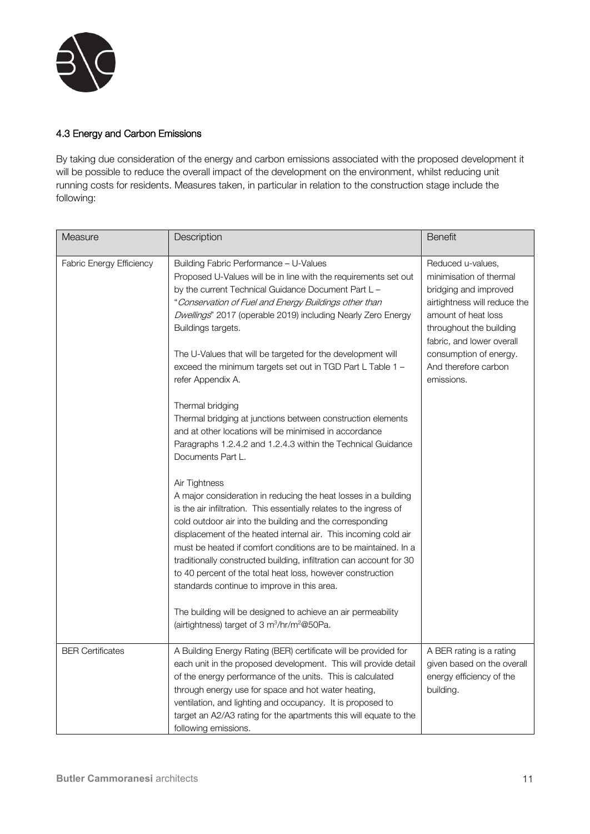

#### 4.3 Energy and Carbon Emissions

By taking due consideration of the energy and carbon emissions associated with the proposed development it will be possible to reduce the overall impact of the development on the environment, whilst reducing unit running costs for residents. Measures taken, in particular in relation to the construction stage include the following:

| Measure                         | Description                                                                                                                                                                                                                                                                                                                                                                                                                                                                                                                                                                                                                                                                                                                                                                                                                                                                                                                                                                                                                                                                                                                                                                                                                                                                                                                                                                                 | <b>Benefit</b>                                                                                                                                                                                                                                       |
|---------------------------------|---------------------------------------------------------------------------------------------------------------------------------------------------------------------------------------------------------------------------------------------------------------------------------------------------------------------------------------------------------------------------------------------------------------------------------------------------------------------------------------------------------------------------------------------------------------------------------------------------------------------------------------------------------------------------------------------------------------------------------------------------------------------------------------------------------------------------------------------------------------------------------------------------------------------------------------------------------------------------------------------------------------------------------------------------------------------------------------------------------------------------------------------------------------------------------------------------------------------------------------------------------------------------------------------------------------------------------------------------------------------------------------------|------------------------------------------------------------------------------------------------------------------------------------------------------------------------------------------------------------------------------------------------------|
| <b>Fabric Energy Efficiency</b> | Building Fabric Performance - U-Values<br>Proposed U-Values will be in line with the requirements set out<br>by the current Technical Guidance Document Part L –<br>"Conservation of Fuel and Energy Buildings other than<br>Dwellings" 2017 (operable 2019) including Nearly Zero Energy<br>Buildings targets.<br>The U-Values that will be targeted for the development will<br>exceed the minimum targets set out in TGD Part L Table 1 -<br>refer Appendix A.<br>Thermal bridging<br>Thermal bridging at junctions between construction elements<br>and at other locations will be minimised in accordance<br>Paragraphs 1.2.4.2 and 1.2.4.3 within the Technical Guidance<br>Documents Part L.<br>Air Tightness<br>A major consideration in reducing the heat losses in a building<br>is the air infiltration. This essentially relates to the ingress of<br>cold outdoor air into the building and the corresponding<br>displacement of the heated internal air. This incoming cold air<br>must be heated if comfort conditions are to be maintained. In a<br>traditionally constructed building, infiltration can account for 30<br>to 40 percent of the total heat loss, however construction<br>standards continue to improve in this area.<br>The building will be designed to achieve an air permeability<br>(airtightness) target of 3 m <sup>3</sup> /hr/m <sup>2</sup> @50Pa. | Reduced u-values,<br>minimisation of thermal<br>bridging and improved<br>airtightness will reduce the<br>amount of heat loss<br>throughout the building<br>fabric, and lower overall<br>consumption of energy.<br>And therefore carbon<br>emissions. |
| <b>BER Certificates</b>         | A Building Energy Rating (BER) certificate will be provided for<br>each unit in the proposed development. This will provide detail<br>of the energy performance of the units. This is calculated<br>through energy use for space and hot water heating,<br>ventilation, and lighting and occupancy. It is proposed to<br>target an A2/A3 rating for the apartments this will equate to the<br>following emissions.                                                                                                                                                                                                                                                                                                                                                                                                                                                                                                                                                                                                                                                                                                                                                                                                                                                                                                                                                                          | A BER rating is a rating<br>given based on the overall<br>energy efficiency of the<br>building.                                                                                                                                                      |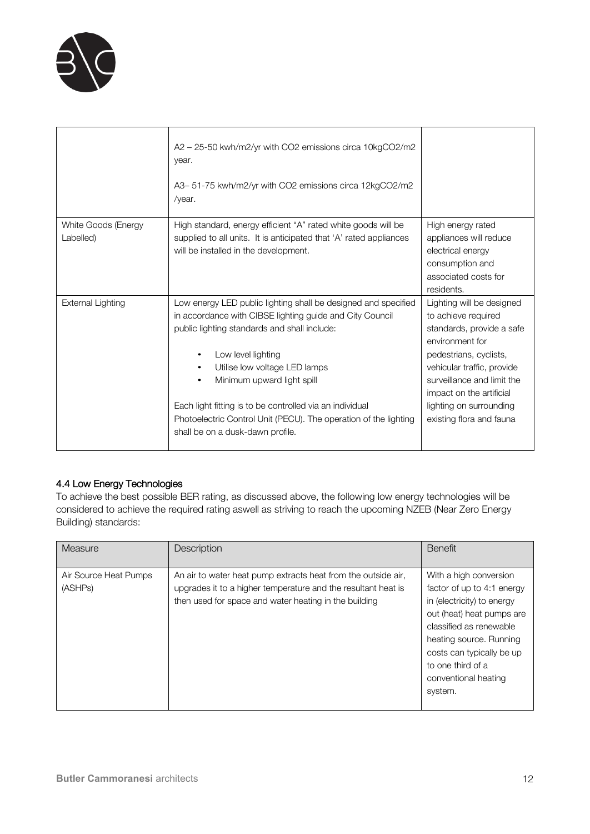

|                                  | A2 - 25-50 kwh/m2/yr with CO2 emissions circa 10kgCO2/m2<br>year.<br>A3-51-75 kwh/m2/yr with CO2 emissions circa 12kgCO2/m2<br>/year.                                                                                                                                                                                                                                                                                               |                                                                                                                                                                                                                                                                           |
|----------------------------------|-------------------------------------------------------------------------------------------------------------------------------------------------------------------------------------------------------------------------------------------------------------------------------------------------------------------------------------------------------------------------------------------------------------------------------------|---------------------------------------------------------------------------------------------------------------------------------------------------------------------------------------------------------------------------------------------------------------------------|
| White Goods (Energy<br>Labelled) | High standard, energy efficient "A" rated white goods will be<br>supplied to all units. It is anticipated that 'A' rated appliances<br>will be installed in the development.                                                                                                                                                                                                                                                        | High energy rated<br>appliances will reduce<br>electrical energy<br>consumption and<br>associated costs for<br>residents.                                                                                                                                                 |
| <b>External Lighting</b>         | Low energy LED public lighting shall be designed and specified<br>in accordance with CIBSE lighting guide and City Council<br>public lighting standards and shall include:<br>Low level lighting<br>Utilise low voltage LED lamps<br>Minimum upward light spill<br>Each light fitting is to be controlled via an individual<br>Photoelectric Control Unit (PECU). The operation of the lighting<br>shall be on a dusk-dawn profile. | Lighting will be designed<br>to achieve required<br>standards, provide a safe<br>environment for<br>pedestrians, cyclists,<br>vehicular traffic, provide<br>surveillance and limit the<br>impact on the artificial<br>lighting on surrounding<br>existing flora and fauna |

## 4.4 Low Energy Technologies

To achieve the best possible BER rating, as discussed above, the following low energy technologies will be considered to achieve the required rating aswell as striving to reach the upcoming NZEB (Near Zero Energy Building) standards:

| <b>Measure</b>                   | Description                                                                                                                                                                             | <b>Benefit</b>                                                                                                                                                                                                                                             |
|----------------------------------|-----------------------------------------------------------------------------------------------------------------------------------------------------------------------------------------|------------------------------------------------------------------------------------------------------------------------------------------------------------------------------------------------------------------------------------------------------------|
| Air Source Heat Pumps<br>(ASHPs) | An air to water heat pump extracts heat from the outside air,<br>upgrades it to a higher temperature and the resultant heat is<br>then used for space and water heating in the building | With a high conversion<br>factor of up to 4:1 energy<br>in (electricity) to energy<br>out (heat) heat pumps are<br>classified as renewable<br>heating source. Running<br>costs can typically be up<br>to one third of a<br>conventional heating<br>system. |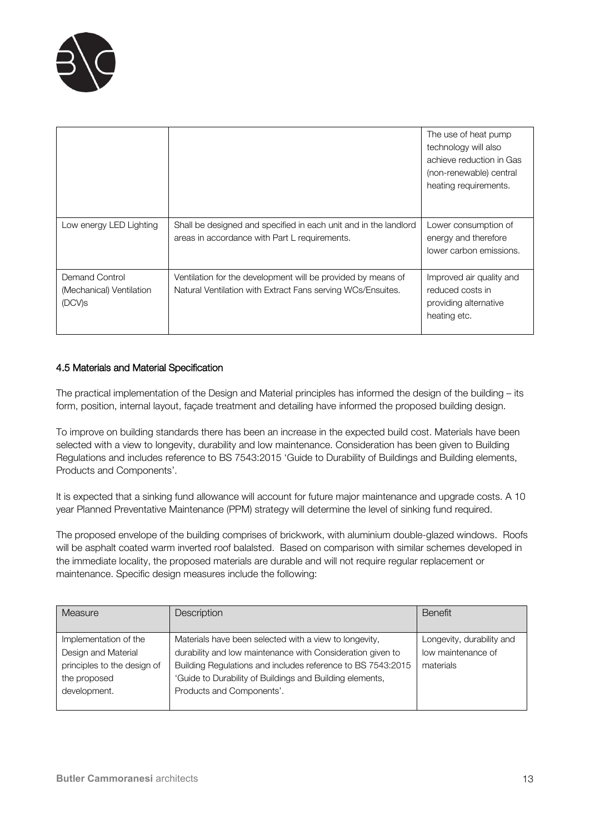

|                                                                  |                                                                                                                             | The use of heat pump<br>technology will also<br>achieve reduction in Gas<br>(non-renewable) central<br>heating requirements. |
|------------------------------------------------------------------|-----------------------------------------------------------------------------------------------------------------------------|------------------------------------------------------------------------------------------------------------------------------|
| Low energy LED Lighting                                          | Shall be designed and specified in each unit and in the landlord<br>areas in accordance with Part L requirements.           | Lower consumption of<br>energy and therefore<br>lower carbon emissions.                                                      |
| Demand Control<br>(Mechanical) Ventilation<br>(DCV) <sub>S</sub> | Ventilation for the development will be provided by means of<br>Natural Ventilation with Extract Fans serving WCs/Ensuites. | Improved air quality and<br>reduced costs in<br>providing alternative<br>heating etc.                                        |

#### 4.5 Materials and Material Specification

The practical implementation of the Design and Material principles has informed the design of the building – its form, position, internal layout, façade treatment and detailing have informed the proposed building design.

To improve on building standards there has been an increase in the expected build cost. Materials have been selected with a view to longevity, durability and low maintenance. Consideration has been given to Building Regulations and includes reference to BS 7543:2015 'Guide to Durability of Buildings and Building elements, Products and Components'.

It is expected that a sinking fund allowance will account for future major maintenance and upgrade costs. A 10 year Planned Preventative Maintenance (PPM) strategy will determine the level of sinking fund required.

The proposed envelope of the building comprises of brickwork, with aluminium double-glazed windows. Roofs will be asphalt coated warm inverted roof balalsted. Based on comparison with similar schemes developed in the immediate locality, the proposed materials are durable and will not require regular replacement or maintenance. Specific design measures include the following:

| Measure                     | Description                                                 | <b>Benefit</b>            |
|-----------------------------|-------------------------------------------------------------|---------------------------|
|                             |                                                             |                           |
| Implementation of the       | Materials have been selected with a view to longevity,      | Longevity, durability and |
| Design and Material         | durability and low maintenance with Consideration given to  | low maintenance of        |
| principles to the design of | Building Regulations and includes reference to BS 7543:2015 | materials                 |
| the proposed                | 'Guide to Durability of Buildings and Building elements,    |                           |
| development.                | Products and Components'.                                   |                           |
|                             |                                                             |                           |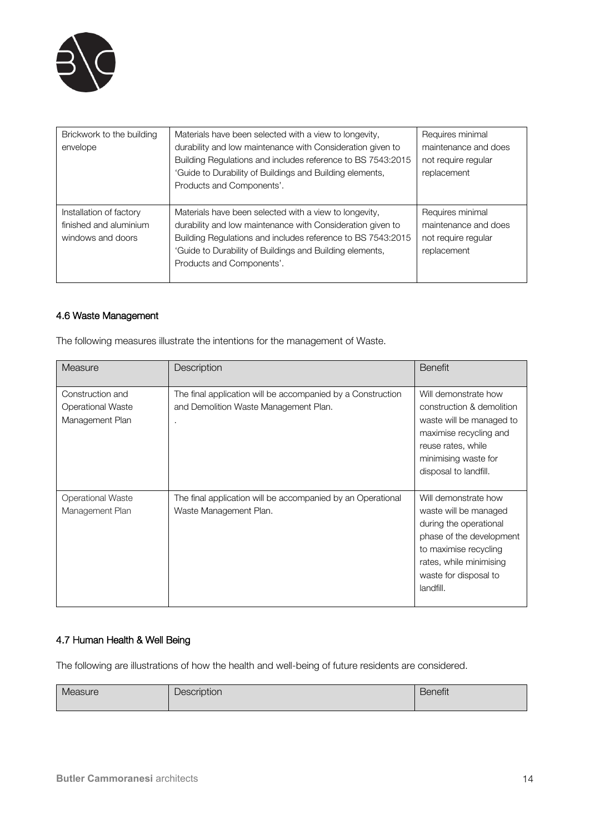

| Brickwork to the building<br>envelope                                  | Materials have been selected with a view to longevity,<br>durability and low maintenance with Consideration given to<br>Building Regulations and includes reference to BS 7543:2015<br>'Guide to Durability of Buildings and Building elements,<br>Products and Components'. | Requires minimal<br>maintenance and does<br>not require reqular<br>replacement |
|------------------------------------------------------------------------|------------------------------------------------------------------------------------------------------------------------------------------------------------------------------------------------------------------------------------------------------------------------------|--------------------------------------------------------------------------------|
| Installation of factory<br>finished and aluminium<br>windows and doors | Materials have been selected with a view to longevity,<br>durability and low maintenance with Consideration given to<br>Building Regulations and includes reference to BS 7543:2015<br>'Guide to Durability of Buildings and Building elements,<br>Products and Components'. | Requires minimal<br>maintenance and does<br>not require reqular<br>replacement |

#### 4.6 Waste Management

The following measures illustrate the intentions for the management of Waste.

| Measure                                                         | Description                                                                                               | <b>Benefit</b>                                                                                                                                                                                |
|-----------------------------------------------------------------|-----------------------------------------------------------------------------------------------------------|-----------------------------------------------------------------------------------------------------------------------------------------------------------------------------------------------|
| Construction and<br><b>Operational Waste</b><br>Management Plan | The final application will be accompanied by a Construction<br>and Demolition Waste Management Plan.<br>٠ | Will demonstrate how<br>construction & demolition<br>waste will be managed to<br>maximise recycling and<br>reuse rates, while<br>minimising waste for<br>disposal to landfill.                |
| <b>Operational Waste</b><br>Management Plan                     | The final application will be accompanied by an Operational<br>Waste Management Plan.                     | Will demonstrate how<br>waste will be managed<br>during the operational<br>phase of the development<br>to maximise recycling<br>rates, while minimising<br>waste for disposal to<br>landfill. |

### 4.7 Human Health & Well Being

The following are illustrations of how the health and well-being of future residents are considered.

| Measure | Description | $\sim$<br>Benetit |
|---------|-------------|-------------------|
|         |             |                   |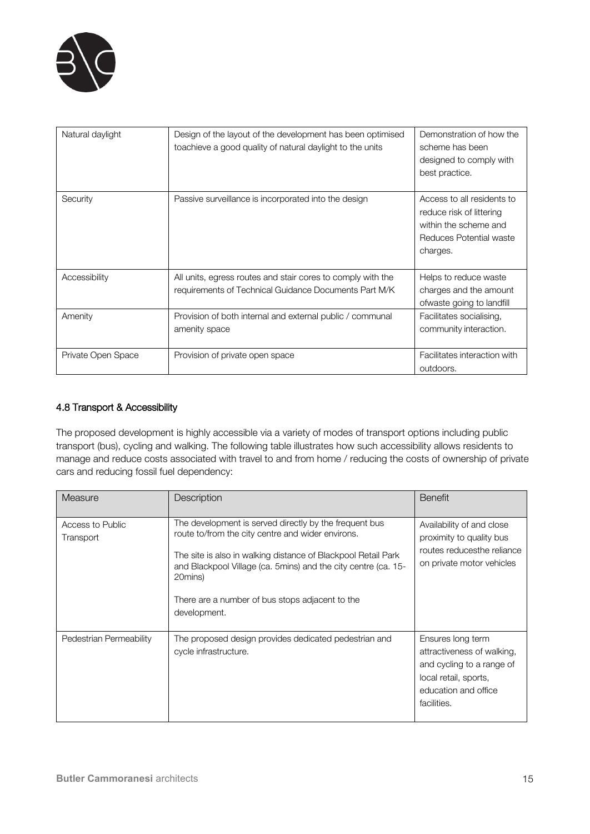

| Natural daylight   | Design of the layout of the development has been optimised<br>toachieve a good quality of natural daylight to the units | Demonstration of how the<br>scheme has been<br>designed to comply with<br>best practice.                               |
|--------------------|-------------------------------------------------------------------------------------------------------------------------|------------------------------------------------------------------------------------------------------------------------|
| Security           | Passive surveillance is incorporated into the design                                                                    | Access to all residents to<br>reduce risk of littering<br>within the scheme and<br>Reduces Potential waste<br>charges. |
| Accessibility      | All units, egress routes and stair cores to comply with the<br>requirements of Technical Guidance Documents Part M/K    | Helps to reduce waste<br>charges and the amount<br>ofwaste going to landfill                                           |
| Amenity            | Provision of both internal and external public / communal<br>amenity space                                              | Facilitates socialising,<br>community interaction.                                                                     |
| Private Open Space | Provision of private open space                                                                                         | Facilitates interaction with<br>outdoors.                                                                              |

#### 4.8 Transport & Accessibility

The proposed development is highly accessible via a variety of modes of transport options including public transport (bus), cycling and walking. The following table illustrates how such accessibility allows residents to manage and reduce costs associated with travel to and from home / reducing the costs of ownership of private cars and reducing fossil fuel dependency:

| Measure                       | Description                                                                                                                                                                                                                                                                                                                  | <b>Benefit</b>                                                                                                                               |
|-------------------------------|------------------------------------------------------------------------------------------------------------------------------------------------------------------------------------------------------------------------------------------------------------------------------------------------------------------------------|----------------------------------------------------------------------------------------------------------------------------------------------|
| Access to Public<br>Transport | The development is served directly by the frequent bus<br>route to/from the city centre and wider environs.<br>The site is also in walking distance of Blackpool Retail Park<br>and Blackpool Village (ca. 5mins) and the city centre (ca. 15-<br>20mins)<br>There are a number of bus stops adjacent to the<br>development. | Availability of and close<br>proximity to quality bus<br>routes reducesthe reliance<br>on private motor vehicles                             |
| Pedestrian Permeability       | The proposed design provides dedicated pedestrian and<br>cycle infrastructure.                                                                                                                                                                                                                                               | Ensures long term<br>attractiveness of walking,<br>and cycling to a range of<br>local retail, sports,<br>education and office<br>facilities. |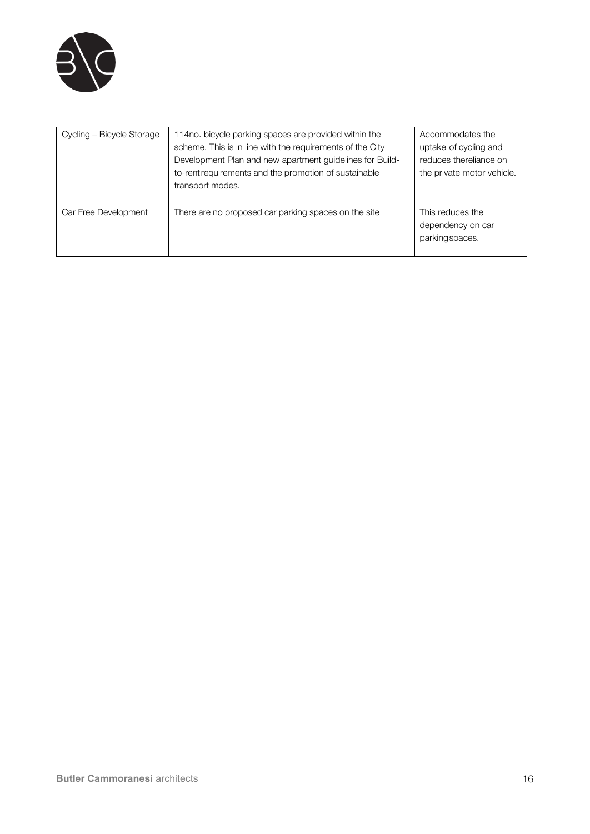

| Cycling - Bicycle Storage | 114no. bicycle parking spaces are provided within the<br>scheme. This is in line with the requirements of the City<br>Development Plan and new apartment guidelines for Build-<br>to-rent requirements and the promotion of sustainable<br>transport modes. | Accommodates the<br>uptake of cycling and<br>reduces thereliance on<br>the private motor vehicle. |
|---------------------------|-------------------------------------------------------------------------------------------------------------------------------------------------------------------------------------------------------------------------------------------------------------|---------------------------------------------------------------------------------------------------|
| Car Free Development      | There are no proposed car parking spaces on the site                                                                                                                                                                                                        | This reduces the<br>dependency on car<br>parking spaces.                                          |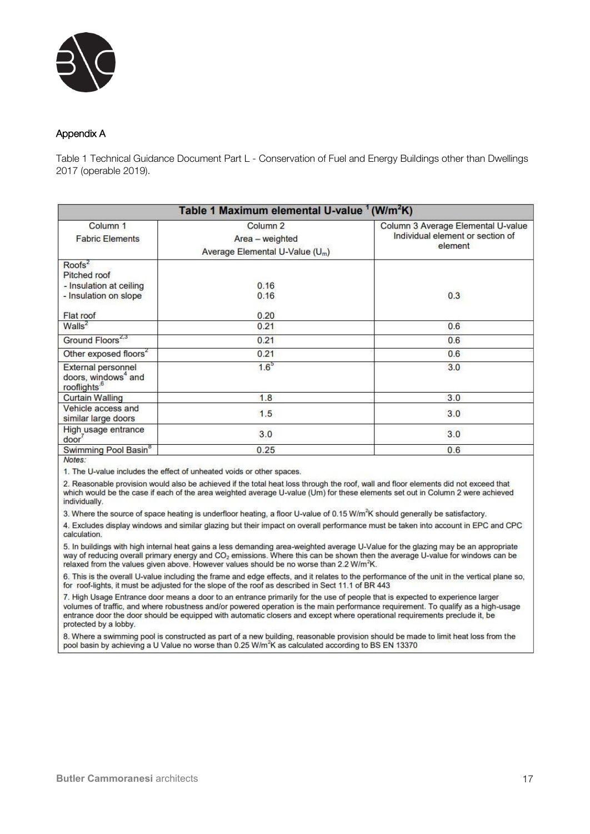

#### Appendix A

Table 1 Technical Guidance Document Part L - Conservation of Fuel and Energy Buildings other than Dwellings 2017 (operable 2019).

| Table 1 Maximum elemental U-value <sup>1</sup> (W/m <sup>2</sup> K)                        |                                                                                       |                                                                                   |  |
|--------------------------------------------------------------------------------------------|---------------------------------------------------------------------------------------|-----------------------------------------------------------------------------------|--|
| Column <sub>1</sub><br><b>Fabric Elements</b>                                              | Column <sub>2</sub><br>Area - weighted<br>Average Elemental U-Value (U <sub>m</sub> ) | Column 3 Average Elemental U-value<br>Individual element or section of<br>element |  |
| $Roots^2$<br>Pitched roof<br>- Insulation at ceiling<br>- Insulation on slope<br>Flat roof | 0.16<br>0.16<br>0.20                                                                  | 0.3                                                                               |  |
| Walls <sup>2</sup>                                                                         | 0.21                                                                                  | 0.6                                                                               |  |
| Ground Floors <sup>2,3</sup>                                                               | 0.21                                                                                  | 0.6                                                                               |  |
| Other exposed floors <sup>2</sup>                                                          | 0.21                                                                                  | 0.6                                                                               |  |
| External personnel<br>doors, windows <sup>4</sup> and<br>rooflights. <sup>6</sup>          | 1.6 <sup>5</sup>                                                                      | 3.0                                                                               |  |
| <b>Curtain Walling</b>                                                                     | 1.8                                                                                   | 3.0                                                                               |  |
| Vehicle access and<br>similar large doors                                                  | 1.5                                                                                   | 3.0                                                                               |  |
| High usage entrance<br>door <sup>7</sup>                                                   | 3.0                                                                                   | 3.0                                                                               |  |
| Swimming Pool Basin <sup>8</sup><br>$M = 4 + 4$                                            | 0.25                                                                                  | 0.6                                                                               |  |

Notes.

1. The U-value includes the effect of unheated voids or other spaces.

2. Reasonable provision would also be achieved if the total heat loss through the roof, wall and floor elements did not exceed that which would be the case if each of the area weighted average U-value (Um) for these elements set out in Column 2 were achieved individually.

3. Where the source of space heating is underfloor heating, a floor U-value of 0.15 W/m<sup>2</sup>K should generally be satisfactory.

4. Excludes display windows and similar glazing but their impact on overall performance must be taken into account in EPC and CPC calculation.

5. In buildings with high internal heat gains a less demanding area-weighted average U-Value for the glazing may be an appropriate way of reducing overall primary energy and CO<sub>2</sub> emissions. Where this can be shown then th relaxed from the values given above. However values should be no worse than 2.2 W/m<sup>2</sup>K.

6. This is the overall U-value including the frame and edge effects, and it relates to the performance of the unit in the vertical plane so, for roof-lights, it must be adjusted for the slope of the roof as described in Sect 11.1 of BR 443

7. High Usage Entrance door means a door to an entrance primarily for the use of people that is expected to experience larger volumes of traffic, and where robustness and/or powered operation is the main performance requirement. To qualify as a high-usage entrance door the door should be equipped with automatic closers and except where operational requirements preclude it, be protected by a lobby.

8. Where a swimming pool is constructed as part of a new building, reasonable provision should be made to limit heat loss from the pool basin by achieving a U Value no worse than 0.25 W/m<sup>2</sup>K as calculated according to BS EN 13370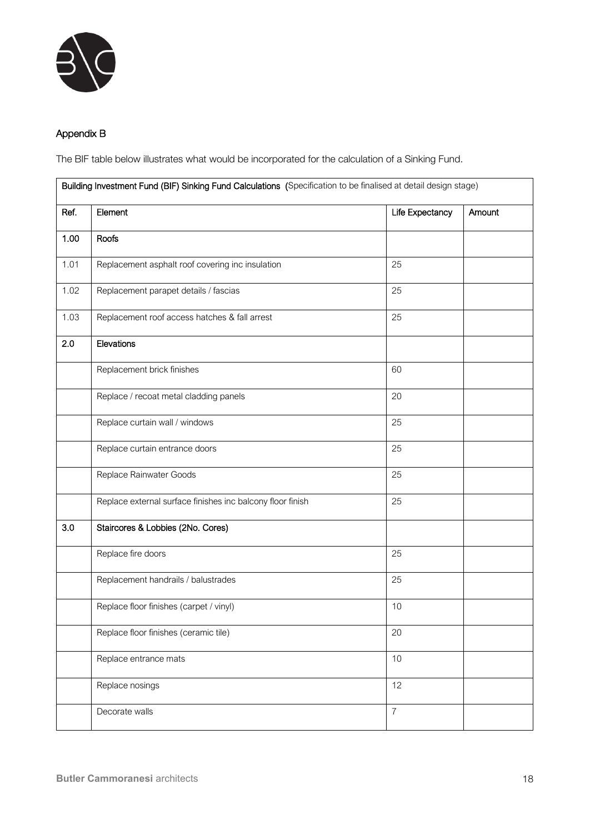

## Appendix B

The BIF table below illustrates what would be incorporated for the calculation of a Sinking Fund.

| Building Investment Fund (BIF) Sinking Fund Calculations (Specification to be finalised at detail design stage) |                                                            |                 |        |
|-----------------------------------------------------------------------------------------------------------------|------------------------------------------------------------|-----------------|--------|
| Ref.                                                                                                            | Element                                                    | Life Expectancy | Amount |
| 1.00                                                                                                            | Roofs                                                      |                 |        |
| 1.01                                                                                                            | Replacement asphalt roof covering inc insulation           | 25              |        |
| 1.02                                                                                                            | Replacement parapet details / fascias                      | 25              |        |
| 1.03                                                                                                            | Replacement roof access hatches & fall arrest              | 25              |        |
| 2.0                                                                                                             | Elevations                                                 |                 |        |
|                                                                                                                 | Replacement brick finishes                                 | 60              |        |
|                                                                                                                 | Replace / recoat metal cladding panels                     | 20              |        |
|                                                                                                                 | Replace curtain wall / windows                             | 25              |        |
|                                                                                                                 | Replace curtain entrance doors                             | 25              |        |
|                                                                                                                 | Replace Rainwater Goods                                    | 25              |        |
|                                                                                                                 | Replace external surface finishes inc balcony floor finish | 25              |        |
| 3.0                                                                                                             | Staircores & Lobbies (2No. Cores)                          |                 |        |
|                                                                                                                 | Replace fire doors                                         | 25              |        |
|                                                                                                                 | Replacement handrails / balustrades                        | 25              |        |
|                                                                                                                 | Replace floor finishes (carpet / vinyl)                    | 10              |        |
|                                                                                                                 | Replace floor finishes (ceramic tile)                      | 20              |        |
|                                                                                                                 | Replace entrance mats                                      | 10              |        |
|                                                                                                                 | Replace nosings                                            | 12              |        |
|                                                                                                                 | Decorate walls                                             | $\overline{7}$  |        |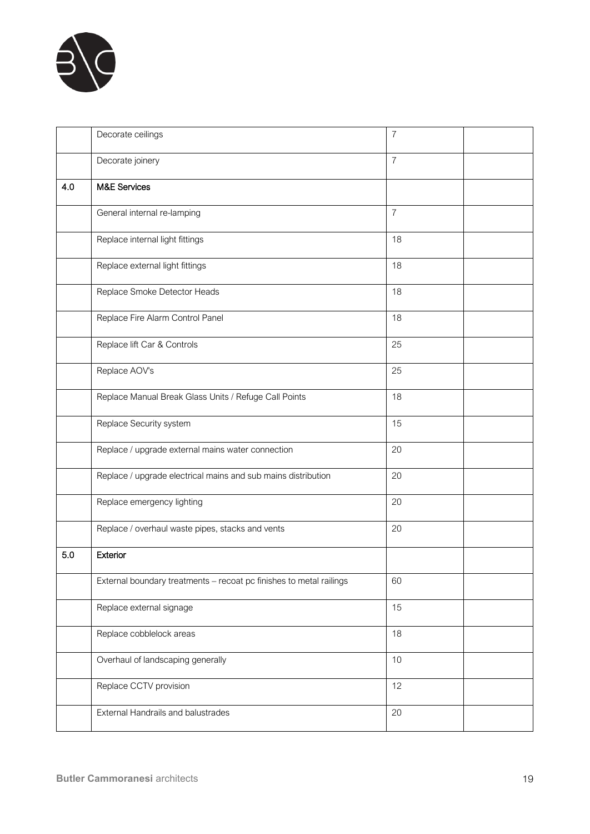

|     | Decorate ceilings                                                   | 7              |  |
|-----|---------------------------------------------------------------------|----------------|--|
|     | Decorate joinery                                                    | $\overline{7}$ |  |
| 4.0 | <b>M&amp;E Services</b>                                             |                |  |
|     | General internal re-lamping                                         | $\overline{7}$ |  |
|     | Replace internal light fittings                                     | 18             |  |
|     | Replace external light fittings                                     | 18             |  |
|     | Replace Smoke Detector Heads                                        | 18             |  |
|     | Replace Fire Alarm Control Panel                                    | 18             |  |
|     | Replace lift Car & Controls                                         | 25             |  |
|     | Replace AOV's                                                       | 25             |  |
|     | Replace Manual Break Glass Units / Refuge Call Points               | 18             |  |
|     | Replace Security system                                             | 15             |  |
|     | Replace / upgrade external mains water connection                   | 20             |  |
|     | Replace / upgrade electrical mains and sub mains distribution       | 20             |  |
|     | Replace emergency lighting                                          | 20             |  |
|     | Replace / overhaul waste pipes, stacks and vents                    | 20             |  |
| 5.0 | Exterior                                                            |                |  |
|     | External boundary treatments - recoat pc finishes to metal railings | 60             |  |
|     | Replace external signage                                            | 15             |  |
|     | Replace cobblelock areas                                            | 18             |  |
|     | Overhaul of landscaping generally                                   | 10             |  |
|     | Replace CCTV provision                                              | 12             |  |
|     | External Handrails and balustrades                                  | 20             |  |